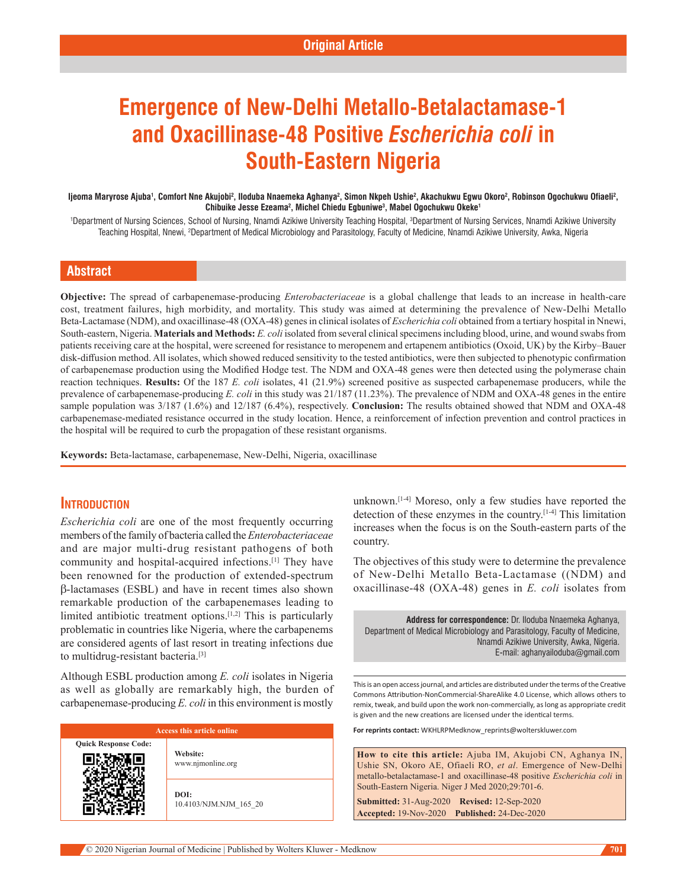# **Emergence of New-Delhi Metallo-Betalactamase-1 and Oxacillinase-48 Positive** *Escherichia coli* **in South-Eastern Nigeria**

#### ljeoma Maryrose Ajuba', Comfort Nne Akujobi<sup>2</sup>, Iloduba Nnaemeka Aghanya<sup>2</sup>, Simon Nkpeh Ushie<sup>2</sup>, Akachukwu Egwu Okoro<sup>2</sup>, Robinson Ogochukwu Ofiaeli<sup>2</sup>, **Chibuike Jesse Ezeama2 , Michel Chiedu Egbuniwe3 , Mabel Ogochukwu Okeke1**

'Department of Nursing Sciences, School of Nursing, Nnamdi Azikiwe University Teaching Hospital, <sup>3</sup>Department of Nursing Services, Nnamdi Azikiwe University Teaching Hospital, Nnewi, <sup>2</sup>Department of Medical Microbiology and Parasitology, Faculty of Medicine, Nnamdi Azikiwe University, Awka, Nigeria

## **Abstract**

**Objective:** The spread of carbapenemase‑producing *Enterobacteriaceae* is a global challenge that leads to an increase in health-care cost, treatment failures, high morbidity, and mortality. This study was aimed at determining the prevalence of New‑Delhi Metallo Beta-Lactamase (NDM), and oxacillinase-48 (OXA-48) genes in clinical isolates of *Escherichia coli* obtained from a tertiary hospital in Nnewi, South-eastern, Nigeria. Materials and Methods: *E. coli* isolated from several clinical specimens including blood, urine, and wound swabs from patients receiving care at the hospital, were screened for resistance to meropenem and ertapenem antibiotics (Oxoid, UK) by the Kirby–Bauer disk‑diffusion method. All isolates, which showed reduced sensitivity to the tested antibiotics, were then subjected to phenotypic confirmation of carbapenemase production using the Modified Hodge test. The NDM and OXA‑48 genes were then detected using the polymerase chain reaction techniques. **Results:** Of the 187 *E. coli* isolates, 41 (21.9%) screened positive as suspected carbapenemase producers, while the prevalence of carbapenemase-producing *E. coli* in this study was 21/187 (11.23%). The prevalence of NDM and OXA-48 genes in the entire sample population was  $3/187$  (1.6%) and  $12/187$  (6.4%), respectively. **Conclusion:** The results obtained showed that NDM and OXA-48 carbapenemase‑mediated resistance occurred in the study location. Hence, a reinforcement of infection prevention and control practices in the hospital will be required to curb the propagation of these resistant organisms.

**Keywords:** Beta‑lactamase, carbapenemase, New‑Delhi, Nigeria, oxacillinase

## **Introduction**

*Escherichia coli* are one of the most frequently occurring members of the family of bacteria called the *Enterobacteriaceae* and are major multi-drug resistant pathogens of both community and hospital-acquired infections.<sup>[1]</sup> They have been renowned for the production of extended-spectrum β‑lactamases (ESBL) and have in recent times also shown remarkable production of the carbapenemases leading to limited antibiotic treatment options.[1,2] This is particularly problematic in countries like Nigeria, where the carbapenems are considered agents of last resort in treating infections due to multidrug-resistant bacteria.<sup>[3]</sup>

Although ESBL production among *E. coli* isolates in Nigeria as well as globally are remarkably high, the burden of carbapenemase‑producing *E. coli* in this environment is mostly

| Access this article online  |                                |  |  |
|-----------------------------|--------------------------------|--|--|
| <b>Quick Response Code:</b> | Website:<br>www.njmonline.org  |  |  |
|                             | DOI:<br>10.4103/NJM.NJM 165 20 |  |  |

unknown.[1-4] Moreso, only a few studies have reported the detection of these enzymes in the country.[1-4] This limitation increases when the focus is on the South-eastern parts of the country.

The objectives of this study were to determine the prevalence of New‑Delhi Metallo Beta‑Lactamase ((NDM) and oxacillinase‑48 (OXA‑48) genes in *E. coli* isolates from

**Address for correspondence:** Dr. Iloduba Nnaemeka Aghanya, Department of Medical Microbiology and Parasitology, Faculty of Medicine, Nnamdi Azikiwe University, Awka, Nigeria. E-mail: aghanyailoduba@gmail.com

This is an open access journal, and articles are distributed under the terms of the Creative Commons Attribution‑NonCommercial‑ShareAlike 4.0 License, which allows others to remix, tweak, and build upon the work non‑commercially, as long as appropriate credit is given and the new creations are licensed under the identical terms.

**For reprints contact:** WKHLRPMedknow\_reprints@wolterskluwer.com

**How to cite this article:** Ajuba IM, Akujobi CN, Aghanya IN, Ushie SN, Okoro AE, Ofiaeli RO, *et al*. Emergence of New-Delhi metallo-betalactamase-1 and oxacillinase-48 positive *Escherichia coli* in South-Eastern Nigeria. Niger J Med 2020;29:701-6.

**Submitted:** 31-Aug-2020 **Revised:** 12‑Sep‑2020 **Accepted:** 19-Nov-2020 **Published:** 24-Dec-2020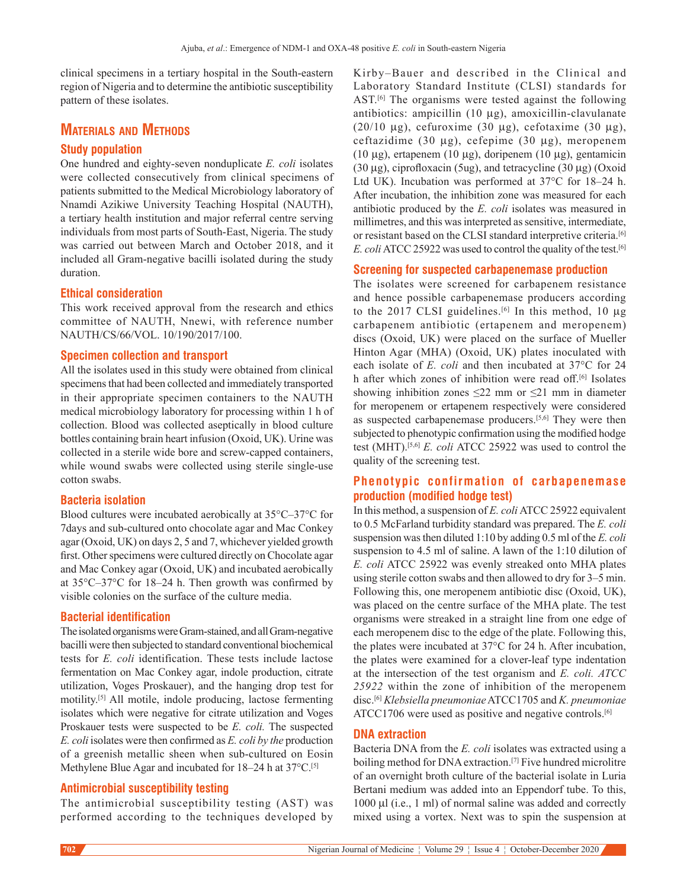clinical specimens in a tertiary hospital in the South-eastern region of Nigeria and to determine the antibiotic susceptibility pattern of these isolates.

## **Materials and Methods**

## **Study population**

One hundred and eighty‑seven nonduplicate *E. coli* isolates were collected consecutively from clinical specimens of patients submitted to the Medical Microbiology laboratory of Nnamdi Azikiwe University Teaching Hospital (NAUTH), a tertiary health institution and major referral centre serving individuals from most parts of South-East, Nigeria. The study was carried out between March and October 2018, and it included all Gram‑negative bacilli isolated during the study duration.

#### **Ethical consideration**

This work received approval from the research and ethics committee of NAUTH, Nnewi, with reference number NAUTH/CS/66/VOL. 10/190/2017/100.

#### **Specimen collection and transport**

All the isolates used in this study were obtained from clinical specimens that had been collected and immediately transported in their appropriate specimen containers to the NAUTH medical microbiology laboratory for processing within 1 h of collection. Blood was collected aseptically in blood culture bottles containing brain heart infusion (Oxoid, UK). Urine was collected in a sterile wide bore and screw-capped containers, while wound swabs were collected using sterile single-use cotton swabs.

## **Bacteria isolation**

Blood cultures were incubated aerobically at 35°C–37°C for 7days and sub‑cultured onto chocolate agar and Mac Conkey agar (Oxoid, UK) on days 2, 5 and 7, whichever yielded growth first. Other specimens were cultured directly on Chocolate agar and Mac Conkey agar (Oxoid, UK) and incubated aerobically at 35°C–37°C for 18–24 h. Then growth was confirmed by visible colonies on the surface of the culture media.

## **Bacterial identification**

The isolated organisms were Gram-stained, and all Gram-negative bacilli were then subjected to standard conventional biochemical tests for *E. coli* identification. These tests include lactose fermentation on Mac Conkey agar, indole production, citrate utilization, Voges Proskauer), and the hanging drop test for motility.[5] All motile, indole producing, lactose fermenting isolates which were negative for citrate utilization and Voges Proskauer tests were suspected to be *E. coli.* The suspected *E. coli* isolates were then confirmed as *E. coli by the* production of a greenish metallic sheen when sub-cultured on Eosin Methylene Blue Agar and incubated for 18–24 h at 37°C.<sup>[5]</sup>

## **Antimicrobial susceptibility testing**

The antimicrobial susceptibility testing (AST) was performed according to the techniques developed by Kirby–Bauer and described in the Clinical and Laboratory Standard Institute (CLSI) standards for AST.<sup>[6]</sup> The organisms were tested against the following antibiotics: ampicillin  $(10 \mu g)$ , amoxicillin-clavulanate  $(20/10 \mu$ g), cefuroxime  $(30 \mu$ g), cefotaxime  $(30 \mu$ g), ceftazidime (30 µg), cefepime (30 µg), meropenem (10 µg), ertapenem (10 µg), doripenem (10 µg), gentamicin (30  $\mu$ g), ciprofloxacin (5ug), and tetracycline (30  $\mu$ g) (Oxoid Ltd UK). Incubation was performed at 37°C for 18–24 h. After incubation, the inhibition zone was measured for each antibiotic produced by the *E. coli* isolates was measured in millimetres, and this was interpreted as sensitive, intermediate, or resistant based on the CLSI standard interpretive criteria.[6] *E. coli* ATCC 25922 was used to control the quality of the test.<sup>[6]</sup>

#### **Screening for suspected carbapenemase production**

The isolates were screened for carbapenem resistance and hence possible carbapenemase producers according to the 2017 CLSI guidelines.<sup>[6]</sup> In this method, 10 μg carbapenem antibiotic (ertapenem and meropenem) discs (Oxoid, UK) were placed on the surface of Mueller Hinton Agar (MHA) (Oxoid, UK) plates inoculated with each isolate of *E. coli* and then incubated at 37°C for 24 h after which zones of inhibition were read off.<sup>[6]</sup> Isolates showing inhibition zones  $\leq 22$  mm or  $\leq 21$  mm in diameter for meropenem or ertapenem respectively were considered as suspected carbapenemase producers.[5,6] They were then subjected to phenotypic confirmation using the modified hodge test (MHT).[5,6] *E. coli* ATCC 25922 was used to control the quality of the screening test.

## **Phenotypic confirmation of carbapenemase production (modified hodge test)**

In this method, a suspension of *E. coli* ATCC 25922 equivalent to 0.5 McFarland turbidity standard was prepared. The *E. coli*  suspension was then diluted 1:10 by adding 0.5 ml of the *E. coli*  suspension to 4.5 ml of saline. A lawn of the 1:10 dilution of *E. coli* ATCC 25922 was evenly streaked onto MHA plates using sterile cotton swabs and then allowed to dry for 3–5 min. Following this, one meropenem antibiotic disc (Oxoid, UK), was placed on the centre surface of the MHA plate. The test organisms were streaked in a straight line from one edge of each meropenem disc to the edge of the plate. Following this, the plates were incubated at 37°C for 24 h. After incubation, the plates were examined for a clover-leaf type indentation at the intersection of the test organism and *E. coli. ATCC 25922* within the zone of inhibition of the meropenem disc.[6] *Klebsiella pneumoniae* ATCC1705 and *K. pneumoniae* ATCC1706 were used as positive and negative controls.<sup>[6]</sup>

## **DNA extraction**

Bacteria DNA from the *E. coli* isolates was extracted using a boiling method for DNA extraction.<sup>[7]</sup> Five hundred microlitre of an overnight broth culture of the bacterial isolate in Luria Bertani medium was added into an Eppendorf tube. To this, 1000 μl (i.e., 1 ml) of normal saline was added and correctly mixed using a vortex. Next was to spin the suspension at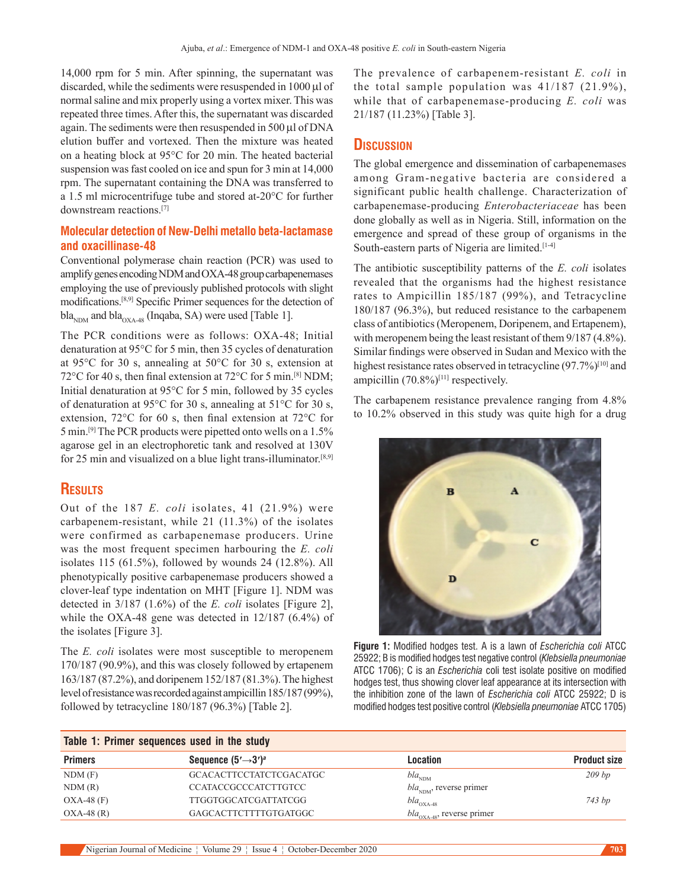14,000 rpm for 5 min. After spinning, the supernatant was discarded, while the sediments were resuspended in 1000 μl of normal saline and mix properly using a vortex mixer. This was repeated three times. After this, the supernatant was discarded again. The sediments were then resuspended in 500 μl of DNA elution buffer and vortexed. Then the mixture was heated on a heating block at 95°C for 20 min. The heated bacterial suspension was fast cooled on ice and spun for 3 min at 14,000 rpm. The supernatant containing the DNA was transferred to a 1.5 ml microcentrifuge tube and stored at‑20°C for further downstream reactions.[7]

## **Molecular detection of New-Delhi metallo beta-lactamase and oxacillinase-48**

Conventional polymerase chain reaction (PCR) was used to amplify genes encoding NDM and OXA‑48 group carbapenemases employing the use of previously published protocols with slight modifications.[8,9] Specific Primer sequences for the detection of  $bla_{NDM}$  and  $bla_{OX_{A,48}}$  (Inqaba, SA) were used [Table 1].

The PCR conditions were as follows: OXA-48; Initial denaturation at 95°C for 5 min, then 35 cycles of denaturation at 95°C for 30 s, annealing at 50°C for 30 s, extension at 72°C for 40 s, then final extension at 72°C for 5 min.<sup>[8]</sup> NDM; Initial denaturation at 95°C for 5 min, followed by 35 cycles of denaturation at 95°C for 30 s, annealing at 51°C for 30 s, extension, 72°C for 60 s, then final extension at 72°C for 5 min.[9] The PCR products were pipetted onto wells on a 1.5% agarose gel in an electrophoretic tank and resolved at 130V for 25 min and visualized on a blue light trans-illuminator.<sup>[8,9]</sup>

## **Results**

Out of the 187 *E. coli* isolates, 41 (21.9%) were carbapenem‑resistant, while 21 (11.3%) of the isolates were confirmed as carbapenemase producers. Urine was the most frequent specimen harbouring the *E. coli*  isolates 115 (61.5%), followed by wounds 24 (12.8%). All phenotypically positive carbapenemase producers showed a clover‑leaf type indentation on MHT [Figure 1]. NDM was detected in 3/187 (1.6%) of the *E. coli* isolates [Figure 2], while the OXA-48 gene was detected in  $12/187$  (6.4%) of the isolates [Figure 3].

The *E. coli* isolates were most susceptible to meropenem 170/187 (90.9%), and this was closely followed by ertapenem 163/187 (87.2%), and doripenem 152/187 (81.3%). The highest level of resistance was recorded against ampicillin 185/187(99%), followed by tetracycline 180/187 (96.3%) [Table 2].

The prevalence of carbapenem‑resistant *E. coli* in the total sample population was 41/187 (21.9%), while that of carbapenemase‑producing *E. coli* was 21/187 (11.23%) [Table 3].

## **Discussion**

The global emergence and dissemination of carbapenemases among Gram-negative bacteria are considered a significant public health challenge. Characterization of carbapenemase‑producing *Enterobacteriaceae* has been done globally as well as in Nigeria. Still, information on the emergence and spread of these group of organisms in the South-eastern parts of Nigeria are limited.<sup>[1-4]</sup>

The antibiotic susceptibility patterns of the *E. coli* isolates revealed that the organisms had the highest resistance rates to Ampicillin 185/187 (99%), and Tetracycline 180/187 (96.3%), but reduced resistance to the carbapenem class of antibiotics(Meropenem, Doripenem, and Ertapenem), with meropenem being the least resistant of them  $9/187$  (4.8%). Similar findings were observed in Sudan and Mexico with the highest resistance rates observed in tetracycline (97.7%)<sup>[10]</sup> and ampicillin (70.8%)<sup>[11]</sup> respectively.

The carbapenem resistance prevalence ranging from 4.8% to 10.2% observed in this study was quite high for a drug



**Figure 1:** Modified hodges test. A is a lawn of *Escherichia coli* ATCC 25922; B is modified hodges test negative control (*Klebsiella pneumoniae* ATCC 1706); C is an *Escherichia* coli test isolate positive on modified hodges test, thus showing clover leaf appearance at its intersection with the inhibition zone of the lawn of *Escherichia coli* ATCC 25922; D is modified hodges test positive control (*Klebsiella pneumoniae* ATCC 1705)

| Table 1: Primer sequences used in the study |                                  |                                        |                     |  |  |
|---------------------------------------------|----------------------------------|----------------------------------------|---------------------|--|--|
| <b>Primers</b>                              | Sequence $(5' \rightarrow 3')^a$ | Location                               | <b>Product size</b> |  |  |
| NDM(F)                                      | GCACACTTCCTATCTCGACATGC          | $bla_{NDM}$                            | $209$ bp            |  |  |
| NDM(R)                                      | <b>CCATACCGCCCATCTTGTCC</b>      | $bla_{NDM}$ , reverse primer           |                     |  |  |
| $OXA-48$ (F)                                | <b>TTGGTGGCATCGATTATCGG</b>      | $bla_{\rm OXA-48}$                     | 743 bp              |  |  |
| $OXA-48(R)$                                 | GAGCACTTCTTTTGTGATGGC            | $bla_{\text{OXA-48}}$ , reverse primer |                     |  |  |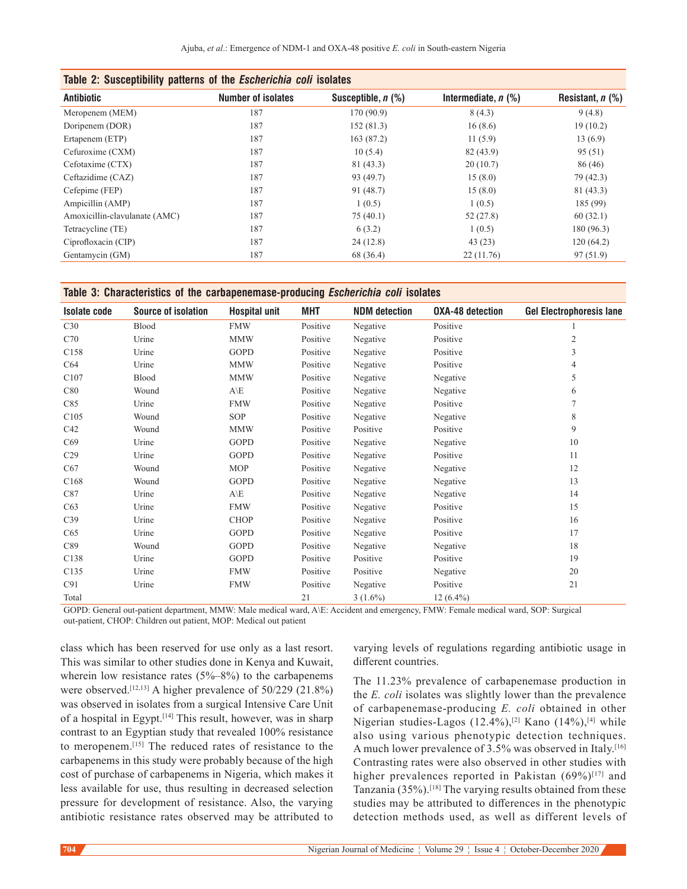| Table 2: Susceptibility patterns of the <i>Escherichia coli</i> isolates |                           |                      |                       |                    |  |  |  |
|--------------------------------------------------------------------------|---------------------------|----------------------|-----------------------|--------------------|--|--|--|
| <b>Antibiotic</b>                                                        | <b>Number of isolates</b> | Susceptible, $n$ (%) | Intermediate, $n$ (%) | Resistant, $n$ (%) |  |  |  |
| Meropenem (MEM)                                                          | 187                       | 170(90.9)            | 8(4.3)                | 9(4.8)             |  |  |  |
| Doripenem (DOR)                                                          | 187                       | 152(81.3)            | 16(8.6)               | 19(10.2)           |  |  |  |
| Ertapenem (ETP)                                                          | 187                       | 163 (87.2)           | 11(5.9)               | 13(6.9)            |  |  |  |
| Cefuroxime (CXM)                                                         | 187                       | 10(5.4)              | 82 (43.9)             | 95(51)             |  |  |  |
| Cefotaxime (CTX)                                                         | 187                       | 81 (43.3)            | 20(10.7)              | 86(46)             |  |  |  |
| Ceftazidime (CAZ)                                                        | 187                       | 93 (49.7)            | 15(8.0)               | 79 (42.3)          |  |  |  |
| Cefepime (FEP)                                                           | 187                       | 91 (48.7)            | 15(8.0)               | 81 (43.3)          |  |  |  |
| Ampicillin (AMP)                                                         | 187                       | 1(0.5)               | 1(0.5)                | 185 (99)           |  |  |  |
| Amoxicillin-clavulanate (AMC)                                            | 187                       | 75(40.1)             | 52 (27.8)             | 60(32.1)           |  |  |  |
| Tetracycline (TE)                                                        | 187                       | 6(3.2)               | 1(0.5)                | 180 (96.3)         |  |  |  |
| Ciprofloxacin (CIP)                                                      | 187                       | 24(12.8)             | 43(23)                | 120(64.2)          |  |  |  |
| Gentamycin (GM)                                                          | 187                       | 68 (36.4)            | 22(11.76)             | 97 (51.9)          |  |  |  |
|                                                                          |                           |                      |                       |                    |  |  |  |

**Table 3: Characteristics of the carbapenemase-producing** *Escherichia coli* **isolates**

| <b>Isolate code</b> | <b>Source of isolation</b> | <b>Hospital unit</b> | MHT      | <b>NDM</b> detection | <b>OXA-48 detection</b> | <b>Gel Electrophoresis lane</b> |
|---------------------|----------------------------|----------------------|----------|----------------------|-------------------------|---------------------------------|
| C30                 | Blood                      | <b>FMW</b>           | Positive | Negative             | Positive                |                                 |
| C70                 | Urine                      | <b>MMW</b>           | Positive | Negative             | Positive                | $\overline{c}$                  |
| C158                | Urine                      | <b>GOPD</b>          | Positive | Negative             | Positive                | 3                               |
| C64                 | Urine                      | <b>MMW</b>           | Positive | Negative             | Positive                | 4                               |
| C107                | Blood                      | <b>MMW</b>           | Positive | Negative             | Negative                | 5                               |
| C80                 | Wound                      | $A\backslash E$      | Positive | Negative             | Negative                | 6                               |
| C85                 | Urine                      | <b>FMW</b>           | Positive | Negative             | Positive                | 7                               |
| C105                | Wound                      | SOP                  | Positive | Negative             | Negative                | 8                               |
| C42                 | Wound                      | <b>MMW</b>           | Positive | Positive             | Positive                | 9                               |
| C69                 | Urine                      | <b>GOPD</b>          | Positive | Negative             | Negative                | 10                              |
| C <sub>29</sub>     | Urine                      | <b>GOPD</b>          | Positive | Negative             | Positive                | 11                              |
| C67                 | Wound                      | <b>MOP</b>           | Positive | Negative             | Negative                | 12                              |
| C <sub>168</sub>    | Wound                      | <b>GOPD</b>          | Positive | Negative             | Negative                | 13                              |
| C87                 | Urine                      | $A\backslash E$      | Positive | Negative             | Negative                | 14                              |
| C63                 | Urine                      | <b>FMW</b>           | Positive | Negative             | Positive                | 15                              |
| C <sub>39</sub>     | Urine                      | <b>CHOP</b>          | Positive | Negative             | Positive                | 16                              |
| C65                 | Urine                      | <b>GOPD</b>          | Positive | Negative             | Positive                | 17                              |
| C89                 | Wound                      | <b>GOPD</b>          | Positive | Negative             | Negative                | 18                              |
| C138                | Urine                      | <b>GOPD</b>          | Positive | Positive             | Positive                | 19                              |
| C135                | Urine                      | <b>FMW</b>           | Positive | Positive             | Negative                | 20                              |
| C91                 | Urine                      | <b>FMW</b>           | Positive | Negative             | Positive                | 21                              |
| Total               |                            |                      | 21       | $3(1.6\%)$           | $12(6.4\%)$             |                                 |

GOPD: General out-patient department, MMW: Male medical ward, A\E: Accident and emergency, FMW: Female medical ward, SOP: Surgical out-patient, CHOP: Children out patient, MOP: Medical out patient

class which has been reserved for use only as a last resort. This was similar to other studies done in Kenya and Kuwait, wherein low resistance rates  $(5\%-8\%)$  to the carbapenems were observed.[12,13] A higher prevalence of 50/229 (21.8%) was observed in isolates from a surgical Intensive Care Unit of a hospital in Egypt.[14] This result, however, was in sharp contrast to an Egyptian study that revealed 100% resistance to meropenem.[15] The reduced rates of resistance to the carbapenems in this study were probably because of the high cost of purchase of carbapenems in Nigeria, which makes it less available for use, thus resulting in decreased selection pressure for development of resistance. Also, the varying antibiotic resistance rates observed may be attributed to varying levels of regulations regarding antibiotic usage in different countries.

The 11.23% prevalence of carbapenemase production in the *E. coli* isolates was slightly lower than the prevalence of carbapenemase‑producing *E. coli* obtained in other Nigerian studies-Lagos (12.4%),<sup>[2]</sup> Kano (14%),<sup>[4]</sup> while also using various phenotypic detection techniques. A much lower prevalence of 3.5% was observed in Italy.[16] Contrasting rates were also observed in other studies with higher prevalences reported in Pakistan  $(69\%)^{[17]}$  and Tanzania (35%).[18] The varying results obtained from these studies may be attributed to differences in the phenotypic detection methods used, as well as different levels of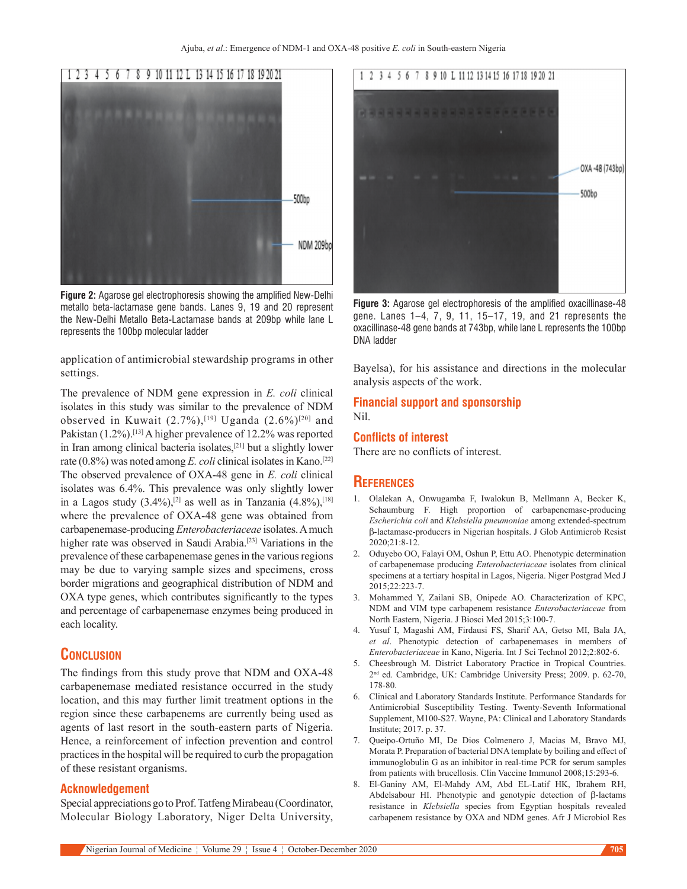

**Figure 2:** Agarose gel electrophoresis showing the amplified New-Delhi metallo beta-lactamase gene bands. Lanes 9, 19 and 20 represent the New-Delhi Metallo Beta-Lactamase bands at 209bp while lane L represents the 100bp molecular ladder

application of antimicrobial stewardship programs in other settings.

The prevalence of NDM gene expression in *E. coli* clinical isolates in this study was similar to the prevalence of NDM observed in Kuwait (2.7%),<sup>[19]</sup> Uganda (2.6%)<sup>[20]</sup> and Pakistan (1.2%).<sup>[13]</sup> A higher prevalence of 12.2% was reported in Iran among clinical bacteria isolates,[21] but a slightly lower rate (0.8%) was noted among *E. coli* clinical isolates in Kano.[22] The observed prevalence of OXA‑48 gene in *E. coli* clinical isolates was 6.4%. This prevalence was only slightly lower in a Lagos study  $(3.4\%)$ ,<sup>[2]</sup> as well as in Tanzania  $(4.8\%)$ ,<sup>[18]</sup> where the prevalence of OXA-48 gene was obtained from carbapenemase‑producing *Enterobacteriaceae* isolates. Amuch higher rate was observed in Saudi Arabia.<sup>[23]</sup> Variations in the prevalence of these carbapenemase genes in the various regions may be due to varying sample sizes and specimens, cross border migrations and geographical distribution of NDM and OXA type genes, which contributes significantly to the types and percentage of carbapenemase enzymes being produced in each locality.

## **Conclusion**

The findings from this study prove that NDM and OXA-48 carbapenemase mediated resistance occurred in the study location, and this may further limit treatment options in the region since these carbapenems are currently being used as agents of last resort in the south-eastern parts of Nigeria. Hence, a reinforcement of infection prevention and control practices in the hospital will be required to curb the propagation of these resistant organisms.

#### **Acknowledgement**

Special appreciations go to Prof. Tatfeng Mirabeau(Coordinator, Molecular Biology Laboratory, Niger Delta University,



**Figure 3:** Agarose gel electrophoresis of the amplified oxacillinase-48 gene. Lanes 1–4, 7, 9, 11, 15–17, 19, and 21 represents the oxacillinase-48 gene bands at 743bp, while lane L represents the 100bp DNA ladder

Bayelsa), for his assistance and directions in the molecular analysis aspects of the work.

## **Financial support and sponsorship**

Nil.

#### **Conflicts of interest**

There are no conflicts of interest.

#### **References**

- 1. Olalekan A, Onwugamba F, Iwalokun B, Mellmann A, Becker K, Schaumburg F. High proportion of carbapenemase-producing *Escherichia coli* and *Klebsiella pneumoniae* among extended‑spectrum β‑lactamase‑producers in Nigerian hospitals. J Glob Antimicrob Resist 2020;21:8‑12.
- 2. Oduyebo OO, Falayi OM, Oshun P, Ettu AO. Phenotypic determination of carbapenemase producing *Enterobacteriaceae* isolates from clinical specimens at a tertiary hospital in Lagos, Nigeria. Niger Postgrad Med J 2015;22:223‑7.
- 3. Mohammed Y, Zailani SB, Onipede AO. Characterization of KPC, NDM and VIM type carbapenem resistance *Enterobacteriaceae* from North Eastern, Nigeria. J Biosci Med 2015;3:100‑7.
- 4. Yusuf I, Magashi AM, Firdausi FS, Sharif AA, Getso MI, Bala JA, *et al*. Phenotypic detection of carbapenemases in members of *Enterobacteriaceae* in Kano, Nigeria. Int J Sci Technol 2012;2:802‑6.
- 5. Cheesbrough M. District Laboratory Practice in Tropical Countries. 2<sup>nd</sup> ed. Cambridge, UK: Cambridge University Press; 2009. p. 62-70, 178‑80.
- 6. Clinical and Laboratory Standards Institute. Performance Standards for Antimicrobial Susceptibility Testing. Twenty‑Seventh Informational Supplement, M100‑S27. Wayne, PA: Clinical and Laboratory Standards Institute; 2017. p. 37.
- 7. Queipo‑Ortuño MI, De Dios Colmenero J, Macias M, Bravo MJ, Morata P. Preparation of bacterial DNA template by boiling and effect of immunoglobulin G as an inhibitor in real-time PCR for serum samples from patients with brucellosis. Clin Vaccine Immunol 2008;15:293-6.
- 8. El‑Ganiny AM, El‑Mahdy AM, Abd EL‑Latif HK, Ibrahem RH, Abdelsabour HI. Phenotypic and genotypic detection of β-lactams resistance in *Klebsiella* species from Egyptian hospitals revealed carbapenem resistance by OXA and NDM genes. Afr J Microbiol Res